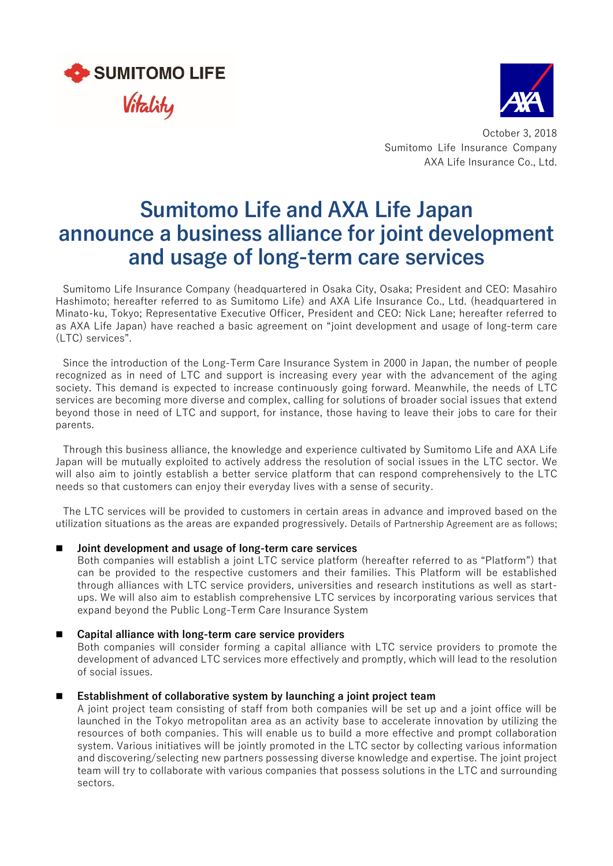



October 3, 2018 Sumitomo Life Insurance Company AXA Life Insurance Co., Ltd.

# **Sumitomo Life and AXA Life Japan announce a business alliance for joint development and usage of long-term care services**

Sumitomo Life Insurance Company (headquartered in Osaka City, Osaka; President and CEO: Masahiro Hashimoto; hereafter referred to as Sumitomo Life) and AXA Life Insurance Co., Ltd. (headquartered in Minato-ku, Tokyo; Representative Executive Officer, President and CEO: Nick Lane; hereafter referred to as AXA Life Japan) have reached a basic agreement on "joint development and usage of long-term care (LTC) services".

Since the introduction of the Long-Term Care Insurance System in 2000 in Japan, the number of people recognized as in need of LTC and support is increasing every year with the advancement of the aging society. This demand is expected to increase continuously going forward. Meanwhile, the needs of LTC services are becoming more diverse and complex, calling for solutions of broader social issues that extend beyond those in need of LTC and support, for instance, those having to leave their jobs to care for their parents.

Through this business alliance, the knowledge and experience cultivated by Sumitomo Life and AXA Life Japan will be mutually exploited to actively address the resolution of social issues in the LTC sector. We will also aim to jointly establish a better service platform that can respond comprehensively to the LTC needs so that customers can enjoy their everyday lives with a sense of security.

The LTC services will be provided to customers in certain areas in advance and improved based on the utilization situations as the areas are expanded progressively. Details of Partnership Agreement are as follows;

#### **Joint development and usage of long-term care services**

Both companies will establish a joint LTC service platform (hereafter referred to as "Platform") that can be provided to the respective customers and their families. This Platform will be established through alliances with LTC service providers, universities and research institutions as well as startups. We will also aim to establish comprehensive LTC services by incorporating various services that expand beyond the Public Long-Term Care Insurance System

#### **Capital alliance with long-term care service providers**

Both companies will consider forming a capital alliance with LTC service providers to promote the development of advanced LTC services more effectively and promptly, which will lead to the resolution of social issues.

#### **Establishment of collaborative system by launching a joint project team**

A joint project team consisting of staff from both companies will be set up and a joint office will be launched in the Tokyo metropolitan area as an activity base to accelerate innovation by utilizing the resources of both companies. This will enable us to build a more effective and prompt collaboration system. Various initiatives will be jointly promoted in the LTC sector by collecting various information and discovering/selecting new partners possessing diverse knowledge and expertise. The joint project team will try to collaborate with various companies that possess solutions in the LTC and surrounding sectors.